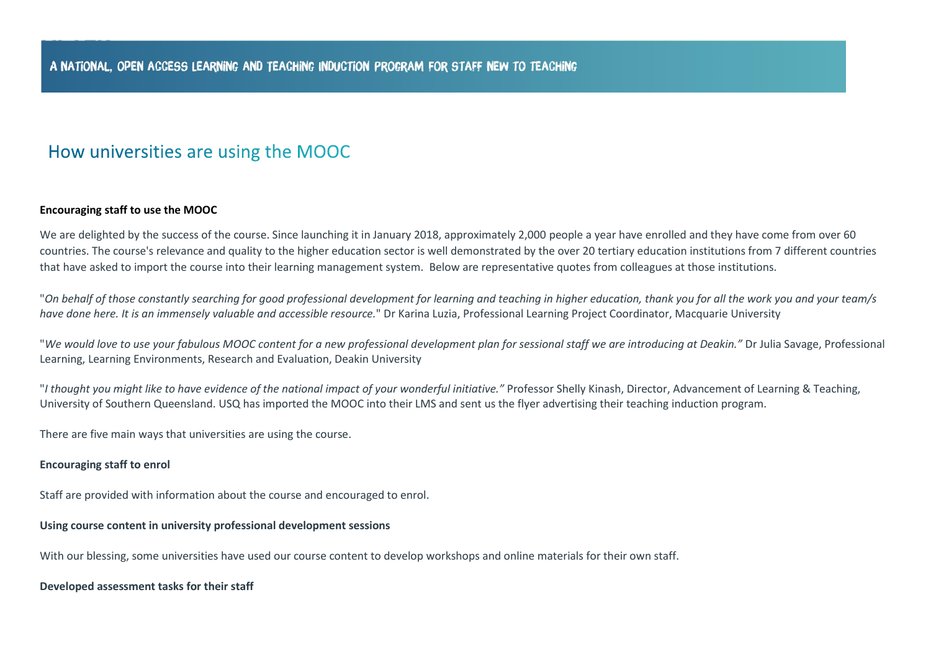# How universities are using the MOOC

## **Encouraging staff to use the MOOC**

We are delighted by the success of the course. Since launching it in January 2018, approximately 2,000 people a year have enrolled and they have come from over 60 countries. The course's relevance and quality to the higher education sector is well demonstrated by the over 20 tertiary education institutions from 7 different countries that have asked to import the course into their learning management system. Below are representative quotes from colleagues at those institutions.

"On behalf of those constantly searching for good professional development for learning and teaching in higher education, thank you for all the work you and your team/s *have done here. It is an immensely valuable and accessible resource.*" Dr Karina Luzia, Professional Learning Project Coordinator, Macquarie University

"*We would love to use your fabulous MOOC content for a new professional development plan for sessional staff we are introducing at Deakin."* Dr Julia Savage, Professional Learning, Learning Environments, Research and Evaluation, Deakin University

"*I thought you might like to have evidence of the national impact of your wonderful initiative."* Professor Shelly Kinash, Director, Advancement of Learning & Teaching, University of Southern Queensland. USQ has imported the MOOC into their LMS and sent us the flyer advertising their teaching induction program.

There are five main ways that universities are using the course.

## **Encouraging staff to enrol**

Staff are provided with information about the course and encouraged to enrol.

#### **Using course content in university professional development sessions**

With our blessing, some universities have used our course content to develop workshops and online materials for their own staff.

#### **Developed assessment tasks for their staff**